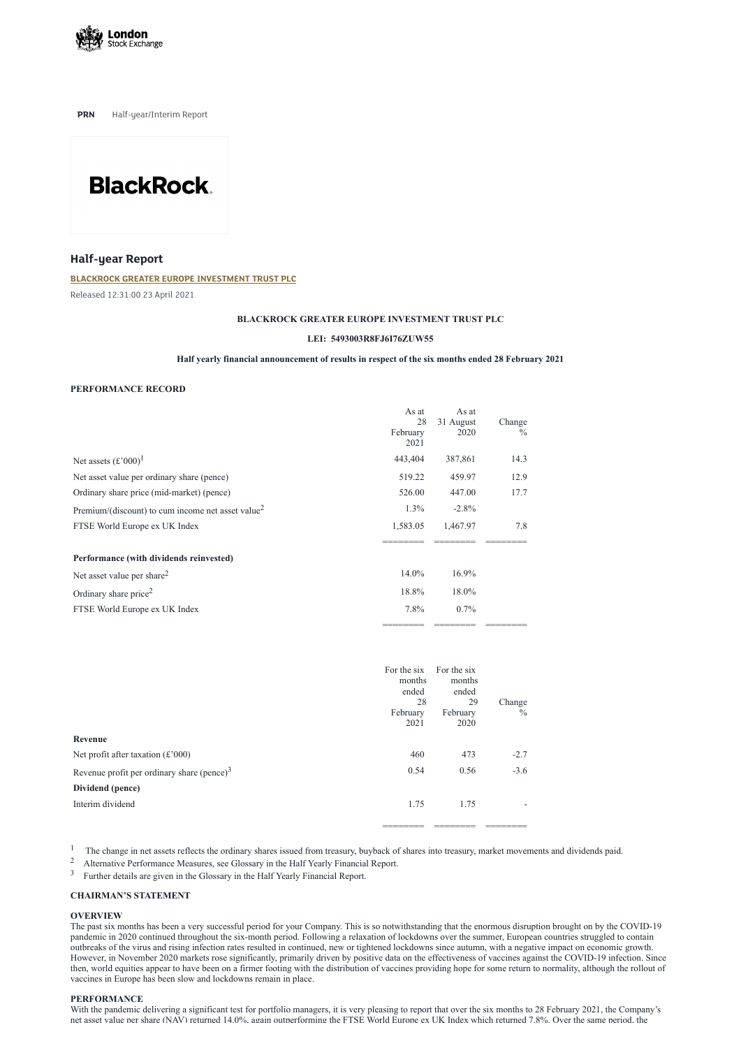

**PRN** Half-year/Interim Report



# **Half-year Report**

## **BLACKROCK GREATER EUROPE [INVESTMENT](https://www.londonstockexchange.com/stock/BRGE/blackrock-greater-europe-investment-trust-plc) TRUST PLC**

Released 12:31:00 23 April 2021

#### **BLACKROCK GREATER EUROPE INVESTMENT TRUST PLC**

#### **LEI: 5493003R8FJ6I76ZUW55**

# **Half yearly financial announcement of results in respect of the six months ended 28 February 2021**

## **PERFORMANCE RECORD**

|                                                               | As at<br>28<br>February<br>2021 | As at<br>31 August<br>2020 | Change<br>$\frac{0}{0}$ |
|---------------------------------------------------------------|---------------------------------|----------------------------|-------------------------|
| Net assets $(\text{\pounds}^2000)^1$                          | 443,404                         | 387,861                    | 14.3                    |
| Net asset value per ordinary share (pence)                    | 519.22                          | 459.97                     | 12.9                    |
| Ordinary share price (mid-market) (pence)                     | 526.00                          | 447.00                     | 17.7                    |
| Premium/(discount) to cum income net asset value <sup>2</sup> | $1.3\%$                         | $-2.8\%$                   |                         |
| FTSE World Europe ex UK Index                                 | 1,583.05                        | 1,467.97                   | 7.8                     |
|                                                               |                                 |                            |                         |
| Performance (with dividends reinvested)                       |                                 |                            |                         |
| Net asset value per share <sup>2</sup>                        | 14.0%                           | $16.9\%$                   |                         |
| Ordinary share price <sup>2</sup>                             | 18.8%                           | 18.0%                      |                         |
| FTSE World Europe ex UK Index                                 | 7.8%                            | $0.7\%$                    |                         |
|                                                               |                                 |                            |                         |

| Revenue                                         | For the six<br>months<br>ended<br>28<br>February<br>2021 | For the six<br>months<br>ended<br>29<br>February<br>2020 | Change<br>$\frac{0}{0}$ |
|-------------------------------------------------|----------------------------------------------------------|----------------------------------------------------------|-------------------------|
| Net profit after taxation $(\text{\pounds}000)$ | 460                                                      | 473                                                      | $-2.7$                  |
| Revenue profit per ordinary share (pence) $3$   | 0.54                                                     | 0.56                                                     | $-3.6$                  |

**Dividend (pence)**

Interim dividend 1.75 1.75 1.75

======== ======== ========

1 The change in net assets reflects the ordinary shares issued from treasury, buyback of shares into treasury, market movements and dividends paid.

- <sup>2</sup> Alternative Performance Measures, see Glossary in the Half Yearly Financial Report.
- $3$  Further details are given in the Glossary in the Half Yearly Financial Report.

With the pandemic delivering a significant test for portfolio managers, it is very pleasing to report that over the six months to 28 February 2021, the Company's net asset value per share (NAV) returned 14.0%, again outperforming the FTSE World Europe ex UK Index which returned 7.8%. Over the same period, the

# **CHAIRMAN'S STATEMENT**

#### **OVERVIEW**

The past six months has been a very successful period for your Company. This is so notwithstanding that the enormous disruption brought on by the COVID-19 pandemic in 2020 continued throughout the six-month period. Following a relaxation of lockdowns over the summer, European countries struggled to contain outbreaks of the virus and rising infection rates resulted in continued, new or tightened lockdowns since autumn, with a negative impact on economic growth. However, in November 2020 markets rose significantly, primarily driven by positive data on the effectiveness of vaccines against the COVID-19 infection. Since then, world equities appear to have been on a firmer footing with the distribution of vaccines providing hope for some return to normality, although the rollout of vaccines in Europe has been slow and lockdowns remain in place.

# **PERFORMANCE**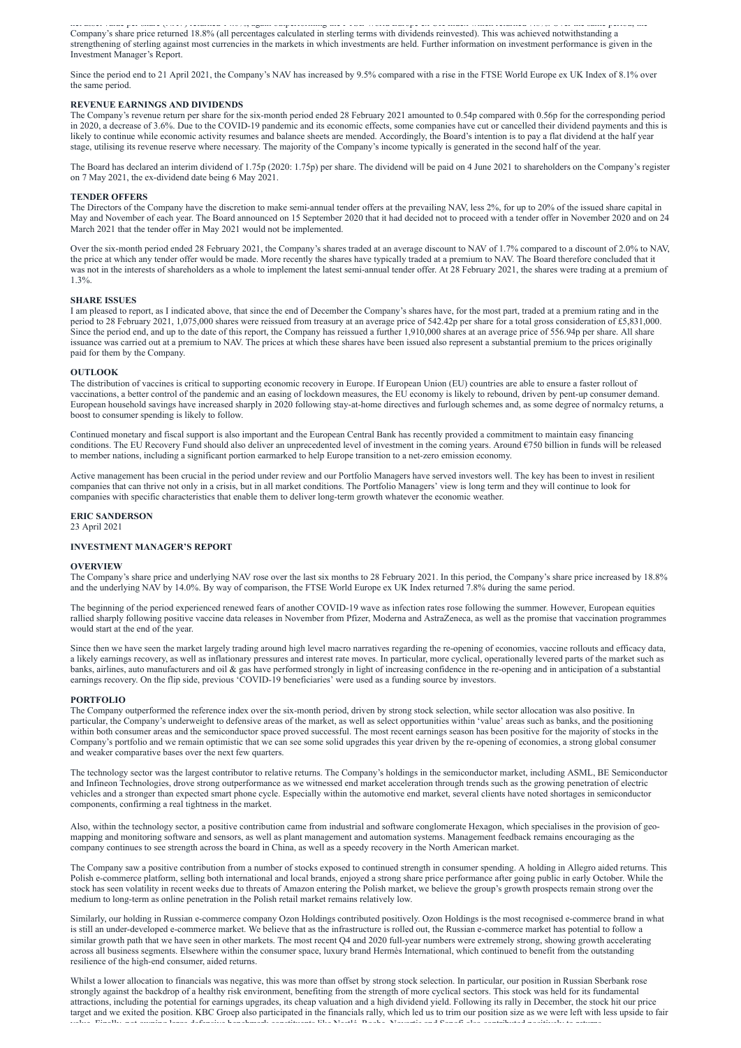net as per share (NAS) y returned 14.0%, a gain outperforming the FTSE World Europe ex UK Index which returned 7.0% over the same period, the Company's share price returned 18.8% (all percentages calculated in sterling terms with dividends reinvested). This was achieved notwithstanding a strengthening of sterling against most currencies in the markets in which investments are held. Further information on investment performance is given in the Investment Manager's Report.

Since the period end to 21 April 2021, the Company's NAV has increased by 9.5% compared with a rise in the FTSE World Europe ex UK Index of 8.1% over the same period.

#### **REVENUE EARNINGS AND DIVIDENDS**

The Company's revenue return per share for the six-month period ended 28 February 2021 amounted to 0.54p compared with 0.56p for the corresponding period in 2020, a decrease of 3.6%. Due to the COVID-19 pandemic and its economic effects, some companies have cut or cancelled their dividend payments and this is likely to continue while economic activity resumes and balance sheets are mended. Accordingly, the Board's intention is to pay a flat dividend at the half year stage, utilising its revenue reserve where necessary. The majority of the Company's income typically is generated in the second half of the year.

The Board has declared an interim dividend of 1.75p (2020: 1.75p) per share. The dividend will be paid on 4 June 2021 to shareholders on the Company's register on 7 May 2021, the ex-dividend date being 6 May 2021.

#### **TENDER OFFERS**

The Directors of the Company have the discretion to make semi-annual tender offers at the prevailing NAV, less 2%, for up to 20% of the issued share capital in May and November of each year. The Board announced on 15 September 2020 that it had decided not to proceed with a tender offer in November 2020 and on 24 March 2021 that the tender offer in May 2021 would not be implemented.

Over the six-month period ended 28 February 2021, the Company's shares traded at an average discount to NAV of 1.7% compared to a discount of 2.0% to NAV, the price at which any tender offer would be made. More recently the shares have typically traded at a premium to NAV. The Board therefore concluded that it was not in the interests of shareholders as a whole to implement the latest semi-annual tender offer. At 28 February 2021, the shares were trading at a premium of 1.3%.

#### **SHARE ISSUES**

I am pleased to report, as I indicated above, that since the end of December the Company's shares have, for the most part, traded at a premium rating and in the period to 28 February 2021, 1,075,000 shares were reissued from treasury at an average price of 542.42p per share for a total gross consideration of £5,831,000. Since the period end, and up to the date of this report, the Company has reissued a further 1,910,000 shares at an average price of 556.94p per share. All share issuance was carried out at a premium to NAV. The prices at which these shares have been issued also represent a substantial premium to the prices originally paid for them by the Company.

#### **OUTLOOK**

The distribution of vaccines is critical to supporting economic recovery in Europe. If European Union (EU) countries are able to ensure a faster rollout of vaccinations, a better control of the pandemic and an easing of lockdown measures, the EU economy is likely to rebound, driven by pent-up consumer demand. European household savings have increased sharply in 2020 following stay-at-home directives and furlough schemes and, as some degree of normalcy returns, a boost to consumer spending is likely to follow.

Continued monetary and fiscal support is also important and the European Central Bank has recently provided a commitment to maintain easy financing conditions. The EU Recovery Fund should also deliver an unprecedented level of investment in the coming years. Around €750 billion in funds will be released to member nations, including a significant portion earmarked to help Europe transition to a net-zero emission economy.

Active management has been crucial in the period under review and our Portfolio Managers have served investors well. The key has been to invest in resilient companies that can thrive not only in a crisis, but in all market conditions. The Portfolio Managers' view is long term and they will continue to look for companies with specific characteristics that enable them to deliver long-term growth whatever the economic weather.

#### **ERIC SANDERSON**

23 April 2021

#### **INVESTMENT MANAGER'S REPORT**

#### **OVERVIEW**

The Company's share price and underlying NAV rose over the last six months to 28 February 2021. In this period, the Company's share price increased by 18.8% and the underlying NAV by 14.0%. By way of comparison, the FTSE World Europe ex UK Index returned 7.8% during the same period.

The beginning of the period experienced renewed fears of another COVID-19 wave as infection rates rose following the summer. However, European equities rallied sharply following positive vaccine data releases in November from Pfizer, Moderna and AstraZeneca, as well as the promise that vaccination programmes would start at the end of the year.

Since then we have seen the market largely trading around high level macro narratives regarding the re-opening of economies, vaccine rollouts and efficacy data, a likely earnings recovery, as well as inflationary pressures and interest rate moves. In particular, more cyclical, operationally levered parts of the market such as banks, airlines, auto manufacturers and oil & gas have performed strongly in light of increasing confidence in the re-opening and in anticipation of a substantial earnings recovery. On the flip side, previous 'COVID-19 beneficiaries' were used as a funding source by investors.

#### **PORTFOLIO**

The Company outperformed the reference index over the six-month period, driven by strong stock selection, while sector allocation was also positive. In particular, the Company's underweight to defensive areas of the market, as well as select opportunities within 'value' areas such as banks, and the positioning within both consumer areas and the semiconductor space proved successful. The most recent earnings season has been positive for the majority of stocks in the Company's portfolio and we remain optimistic that we can see some solid upgrades this year driven by the re-opening of economies, a strong global consumer and weaker comparative bases over the next few quarters.

The technology sector was the largest contributor to relative returns. The Company's holdings in the semiconductor market, including ASML, BE Semiconductor and Infineon Technologies, drove strong outperformance as we witnessed end market acceleration through trends such as the growing penetration of electric

vehicles and a stronger than expected smart phone cycle. Especially within the automotive end market, several clients have noted shortages in semiconductor components, confirming a real tightness in the market.

Also, within the technology sector, a positive contribution came from industrial and software conglomerate Hexagon, which specialises in the provision of geomapping and monitoring software and sensors, as well as plant management and automation systems. Management feedback remains encouraging as the company continues to see strength across the board in China, as well as a speedy recovery in the North American market.

The Company saw a positive contribution from a number of stocks exposed to continued strength in consumer spending. A holding in Allegro aided returns. This Polish e-commerce platform, selling both international and local brands, enjoyed a strong share price performance after going public in early October. While the stock has seen volatility in recent weeks due to threats of Amazon entering the Polish market, we believe the group's growth prospects remain strong over the medium to long-term as online penetration in the Polish retail market remains relatively low.

Similarly, our holding in Russian e-commerce company Ozon Holdings contributed positively. Ozon Holdings is the most recognised e-commerce brand in what is still an under-developed e-commerce market. We believe that as the infrastructure is rolled out, the Russian e-commerce market has potential to follow a similar growth path that we have seen in other markets. The most recent Q4 and 2020 full-year numbers were extremely strong, showing growth accelerating across all business segments. Elsewhere within the consumer space, luxury brand Hermès International, which continued to benefit from the outstanding resilience of the high-end consumer, aided returns.

Whilst a lower allocation to financials was negative, this was more than offset by strong stock selection. In particular, our position in Russian Sberbank rose strongly against the backdrop of a healthy risk environment, benefiting from the strength of more cyclical sectors. This stock was held for its fundamental attractions, including the potential for earnings upgrades, its cheap valuation and a high dividend yield. Following its rally in December, the stock hit our price target and we exited the position. KBC Groep also participated in the financials rally, which led us to trim our position size as we were left with less upside to fair value Finally not owning large defensive benchmark constituents like Nestlé Roche Novartis and Sanofi also contributed positively to returns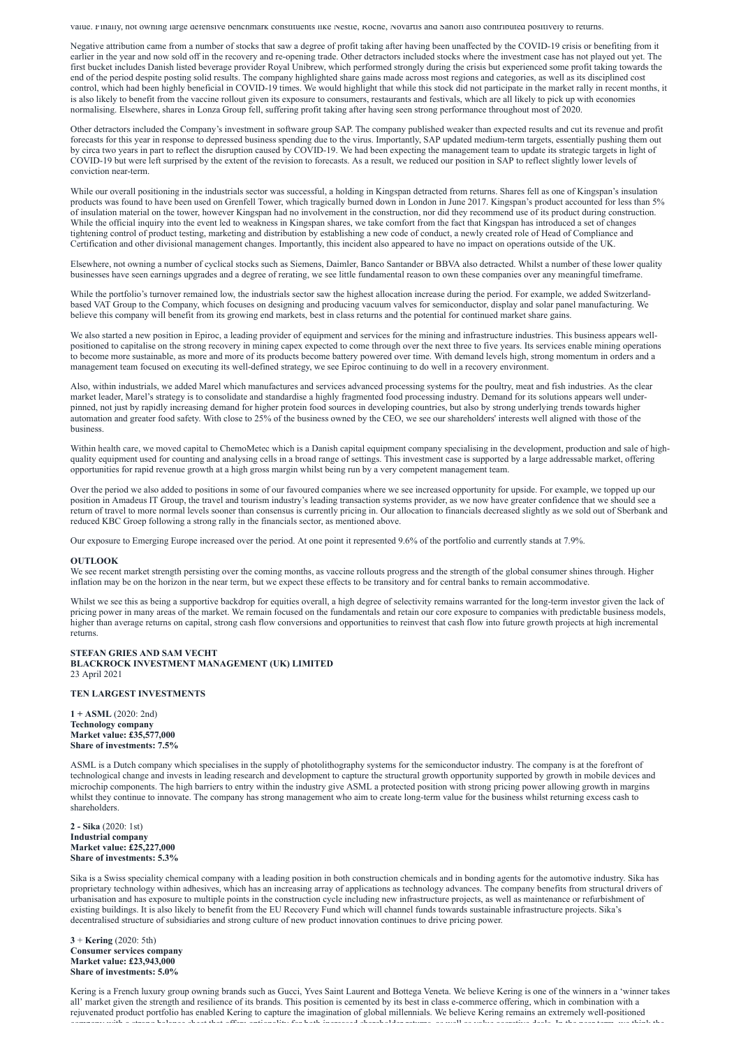value. Finally, not owning large defensive benchmark constituents like Nestle, Roche, Novartis and Sanofi also contributed positively to returns.

Negative attribution came from a number of stocks that saw a degree of profit taking after having been unaffected by the COVID-19 crisis or benefiting from it earlier in the year and now sold off in the recovery and re-opening trade. Other detractors included stocks where the investment case has not played out yet. The first bucket includes Danish listed beverage provider Royal Unibrew, which performed strongly during the crisis but experienced some profit taking towards the end of the period despite posting solid results. The company highlighted share gains made across most regions and categories, as well as its disciplined cost control, which had been highly beneficial in COVID-19 times. We would highlight that while this stock did not participate in the market rally in recent months, it is also likely to benefit from the vaccine rollout given its exposure to consumers, restaurants and festivals, which are all likely to pick up with economies normalising. Elsewhere, shares in Lonza Group fell, suffering profit taking after having seen strong performance throughout most of 2020.

While our overall positioning in the industrials sector was successful, a holding in Kingspan detracted from returns. Shares fell as one of Kingspan's insulation products was found to have been used on Grenfell Tower, which tragically burned down in London in June 2017. Kingspan's product accounted for less than 5% of insulation material on the tower, however Kingspan had no involvement in the construction, nor did they recommend use of its product during construction. While the official inquiry into the event led to weakness in Kingspan shares, we take comfort from the fact that Kingspan has introduced a set of changes tightening control of product testing, marketing and distribution by establishing a new code of conduct, a newly created role of Head of Compliance and Certification and other divisional management changes. Importantly, this incident also appeared to have no impact on operations outside of the UK.

Other detractors included the Company's investment in software group SAP. The company published weaker than expected results and cut its revenue and profit forecasts for this year in response to depressed business spending due to the virus. Importantly, SAP updated medium-term targets, essentially pushing them out by circa two years in part to reflect the disruption caused by COVID-19. We had been expecting the management team to update its strategic targets in light of COVID-19 but were left surprised by the extent of the revision to forecasts. As a result, we reduced our position in SAP to reflect slightly lower levels of conviction near-term.

While the portfolio's turnover remained low, the industrials sector saw the highest allocation increase during the period. For example, we added Switzerlandbased VAT Group to the Company, which focuses on designing and producing vacuum valves for semiconductor, display and solar panel manufacturing. We believe this company will benefit from its growing end markets, best in class returns and the potential for continued market share gains.

We also started a new position in Epiroc, a leading provider of equipment and services for the mining and infrastructure industries. This business appears wellpositioned to capitalise on the strong recovery in mining capex expected to come through over the next three to five years. Its services enable mining operations to become more sustainable, as more and more of its products become battery powered over time. With demand levels high, strong momentum in orders and a management team focused on executing its well-defined strategy, we see Epiroc continuing to do well in a recovery environment.

Within health care, we moved capital to ChemoMetec which is a Danish capital equipment company specialising in the development, production and sale of highquality equipment used for counting and analysing cells in a broad range of settings. This investment case is supported by a large addressable market, offering opportunities for rapid revenue growth at a high gross margin whilst being run by a very competent management team.

Elsewhere, not owning a number of cyclical stocks such as Siemens, Daimler, Banco Santander or BBVA also detracted. Whilst a number of these lower quality businesses have seen earnings upgrades and a degree of rerating, we see little fundamental reason to own these companies over any meaningful timeframe.

We see recent market strength persisting over the coming months, as vaccine rollouts progress and the strength of the global consumer shines through. Higher inflation may be on the horizon in the near term, but we expect these effects to be transitory and for central banks to remain accommodative.

Whilst we see this as being a supportive backdrop for equities overall, a high degree of selectivity remains warranted for the long-term investor given the lack of pricing power in many areas of the market. We remain focused on the fundamentals and retain our core exposure to companies with predictable business models, higher than average returns on capital, strong cash flow conversions and opportunities to reinvest that cash flow into future growth projects at high incremental returns.

Also, within industrials, we added Marel which manufactures and services advanced processing systems for the poultry, meat and fish industries. As the clear market leader, Marel's strategy is to consolidate and standardise a highly fragmented food processing industry. Demand for its solutions appears well underpinned, not just by rapidly increasing demand for higher protein food sources in developing countries, but also by strong underlying trends towards higher automation and greater food safety. With close to 25% of the business owned by the CEO, we see our shareholders' interests well aligned with those of the business.

Over the period we also added to positions in some of our favoured companies where we see increased opportunity for upside. For example, we topped up our position in Amadeus IT Group, the travel and tourism industry's leading transaction systems provider, as we now have greater confidence that we should see a return of travel to more normal levels sooner than consensus is currently pricing in. Our allocation to financials decreased slightly as we sold out of Sberbank and reduced KBC Groep following a strong rally in the financials sector, as mentioned above.

Our exposure to Emerging Europe increased over the period. At one point it represented 9.6% of the portfolio and currently stands at 7.9%.

#### **OUTLOOK**

# **STEFAN GRIES AND SAM VECHT BLACKROCK INVESTMENT MANAGEMENT (UK) LIMITED** 23 April 2021

# **TEN LARGEST INVESTMENTS**

**1 + ASML** (2020: 2nd) **Technology company Market value: £35,577,000 Share of investments: 7.5%**

ASML is a Dutch company which specialises in the supply of photolithography systems for the semiconductor industry. The company is at the forefront of technological change and invests in leading research and development to capture the structural growth opportunity supported by growth in mobile devices and microchip components. The high barriers to entry within the industry give ASML a protected position with strong pricing power allowing growth in margins whilst they continue to innovate. The company has strong management who aim to create long-term value for the business whilst returning excess cash to shareholders.

**2 - Sika** (2020: 1st) **Industrial company Market value: £25,227,000 Share of investments: 5.3%**

Sika is a Swiss speciality chemical company with a leading position in both construction chemicals and in bonding agents for the automotive industry. Sika has proprietary technology within adhesives, which has an increasing array of applications as technology advances. The company benefits from structural drivers of urbanisation and has exposure to multiple points in the construction cycle including new infrastructure projects, as well as maintenance or refurbishment of existing buildings. It is also likely to benefit from the EU Recovery Fund which will channel funds towards sustainable infrastructure projects. Sika's decentralised structure of subsidiaries and strong culture of new product innovation continues to drive pricing power.

**3** + **Kering** (2020: 5th) **Consumer services company Market value: £23,943,000 Share of investments: 5.0%**

Kering is a French luxury group owning brands such as Gucci, Yves Saint Laurent and Bottega Veneta. We believe Kering is one of the winners in a 'winner takes all' market given the strength and resilience of its brands. This position is cemented by its best in class e-commerce offering, which in combination with a rejuvenated product portfolio has enabled Kering to capture the imagination of global millennials. We believe Kering remains an extremely well-positioned company with a strong balance sheet that offers optionality for both increased shareholder returns as well as value accretive deals In the near term we think the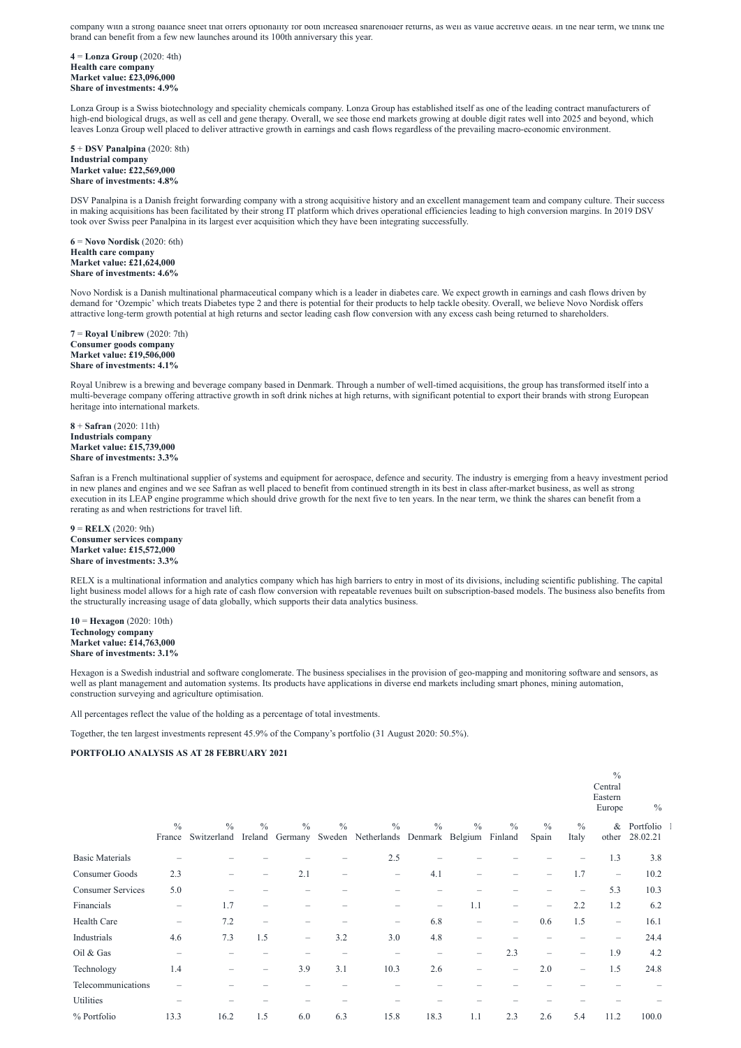company with a strong balance sheet that offers optionality for both increased shareholder returns, as well as value accretive deals. In the near term, we think the brand can benefit from a few new launches around its 100th anniversary this year.

**4** = **Lonza Group** (2020: 4th) **Health care company Market value: £23,096,000 Share of investments: 4.9%**

Lonza Group is a Swiss biotechnology and speciality chemicals company. Lonza Group has established itself as one of the leading contract manufacturers of high-end biological drugs, as well as cell and gene therapy. Overall, we see those end markets growing at double digit rates well into 2025 and beyond, which leaves Lonza Group well placed to deliver attractive growth in earnings and cash flows regardless of the prevailing macro-economic environment.

**5** + **DSV Panalpina** (2020: 8th) **Industrial company Market value: £22,569,000 Share of investments: 4.8%**

DSV Panalpina is a Danish freight forwarding company with a strong acquisitive history and an excellent management team and company culture. Their success in making acquisitions has been facilitated by their strong IT platform which drives operational efficiencies leading to high conversion margins. In 2019 DSV took over Swiss peer Panalpina in its largest ever acquisition which they have been integrating successfully.

**6** = **Novo Nordisk** (2020: 6th) **Health care company Market value: £21,624,000 Share of investments: 4.6%**

Novo Nordisk is a Danish multinational pharmaceutical company which is a leader in diabetes care. We expect growth in earnings and cash flows driven by demand for 'Ozempic' which treats Diabetes type 2 and there is potential for their products to help tackle obesity. Overall, we believe Novo Nordisk offers attractive long-term growth potential at high returns and sector leading cash flow conversion with any excess cash being returned to shareholders.

**7** = **Royal Unibrew** (2020: 7th) **Consumer goods company Market value: £19,506,000 Share of investments: 4.1%**

Royal Unibrew is a brewing and beverage company based in Denmark. Through a number of well-timed acquisitions, the group has transformed itself into a multi-beverage company offering attractive growth in soft drink niches at high returns, with significant potential to export their brands with strong European heritage into international markets.

Europe  $\frac{0}{0}$ 

**8** + **Safran** (2020: 11th) **Industrials company Market value: £15,739,000 Share of investments: 3.3%**

Safran is a French multinational supplier of systems and equipment for aerospace, defence and security. The industry is emerging from a heavy investment period in new planes and engines and we see Safran as well placed to benefit from continued strength in its best in class after-market business, as well as strong execution in its LEAP engine programme which should drive growth for the next five to ten years. In the near term, we think the shares can benefit from a rerating as and when restrictions for travel lift.

**9** = **RELX** (2020: 9th) **Consumer services company Market value: £15,572,000 Share of investments: 3.3%**

RELX is a multinational information and analytics company which has high barriers to entry in most of its divisions, including scientific publishing. The capital light business model allows for a high rate of cash flow conversion with repeatable revenues built on subscription-based models. The business also benefits from the structurally increasing usage of data globally, which supports their data analytics business.

**10** = **Hexagon** (2020: 10th) **Technology company Market value: £14,763,000 Share of investments: 3.1%**

Hexagon is a Swedish industrial and software conglomerate. The business specialises in the provision of geo-mapping and monitoring software and sensors, as well as plant management and automation systems. Its products have applications in diverse end markets including smart phones, mining automation, construction surveying and agriculture optimisation.

All percentages reflect the value of the holding as a percentage of total investments.

Together, the ten largest investments represent 45.9% of the Company's portfolio (31 August 2020: 50.5%).

#### **PORTFOLIO ANALYSIS AS AT 28 FEBRUARY 2021**

# Eastern

|                          | $\frac{0}{0}$            | $\frac{0}{0}$                                                                 | $\frac{0}{0}$                   | $\frac{0}{0}$            | $\frac{0}{0}$ | $\frac{0}{0}$            | $\frac{0}{0}$     | $\frac{0}{0}$            | $\frac{0}{0}$            | $\frac{0}{0}$            | $\frac{0}{0}$            | $\&$                           | Portfolio |  |
|--------------------------|--------------------------|-------------------------------------------------------------------------------|---------------------------------|--------------------------|---------------|--------------------------|-------------------|--------------------------|--------------------------|--------------------------|--------------------------|--------------------------------|-----------|--|
|                          |                          | France Switzerland Ireland Germany Sweden Netherlands Denmark Belgium Finland |                                 |                          |               |                          |                   |                          |                          | Spain                    | Italy                    | other                          | 28.02.21  |  |
| <b>Basic Materials</b>   |                          |                                                                               |                                 |                          |               | 2.5                      |                   |                          |                          |                          |                          | 1.3                            | 3.8       |  |
| Consumer Goods           | 2.3                      |                                                                               |                                 | 2.1                      | -             | $\qquad \qquad$          | 4.1               |                          |                          |                          | 1.7                      | $\qquad \qquad -$              | 10.2      |  |
| <b>Consumer Services</b> | 5.0                      |                                                                               |                                 |                          |               |                          |                   |                          |                          |                          | $\overline{\phantom{m}}$ | 5.3                            | 10.3      |  |
| Financials               | $\overline{\phantom{m}}$ | 1.7                                                                           | $\hspace{0.1mm}-\hspace{0.1mm}$ |                          |               |                          | $\qquad \qquad -$ | 1.1                      | $\overline{\phantom{0}}$ | $\overline{\phantom{m}}$ | 2.2                      | 1.2                            | 6.2       |  |
| Health Care              | $\overline{\phantom{m}}$ | 7.2                                                                           | $\overline{\phantom{m}}$        |                          |               | $\overline{\phantom{m}}$ | 6.8               |                          | $\overline{\phantom{0}}$ | 0.6                      | 1.5                      | $\qquad \qquad \longleftarrow$ | 16.1      |  |
| Industrials              | 4.6                      | 7.3                                                                           | 1.5                             | $\overline{\phantom{m}}$ | 3.2           | 3.0                      | 4.8               |                          |                          |                          |                          |                                | 24.4      |  |
| Oil & Gas                |                          |                                                                               |                                 |                          |               |                          |                   | $\overline{\phantom{m}}$ | 2.3                      | $\overline{\phantom{0}}$ | $\qquad \qquad -$        | 1.9                            | 4.2       |  |
| Technology               | 1.4                      |                                                                               |                                 | 3.9                      | 3.1           | 10.3                     | 2.6               |                          | —                        | 2.0                      | $\overline{\phantom{m}}$ | 1.5                            | 24.8      |  |
| Telecommunications       |                          |                                                                               |                                 |                          |               |                          |                   |                          |                          |                          |                          |                                |           |  |
| Utilities                |                          |                                                                               |                                 |                          |               |                          |                   |                          |                          |                          |                          |                                |           |  |
| % Portfolio              | 13.3                     | 16.2                                                                          | 1.5                             | 6.0                      | 6.3           | 15.8                     | 18.3              | 1.1                      | 2.3                      | 2.6                      | 5.4                      | 11.2                           | 100.0     |  |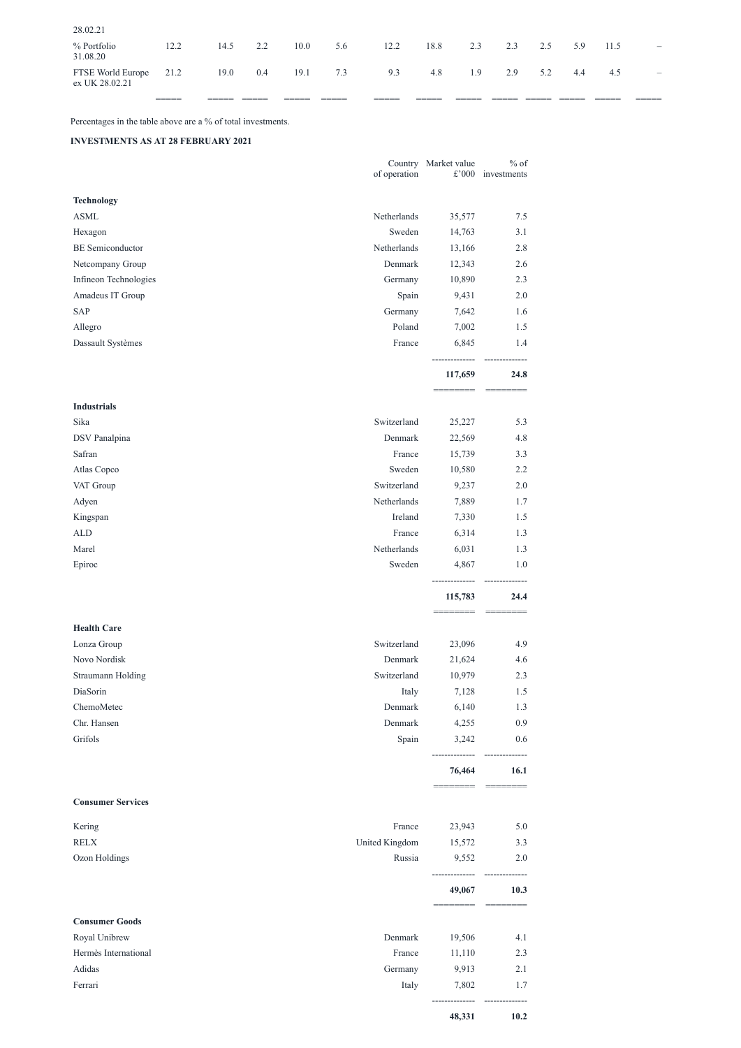|                                     | ______<br>_____ | ________ | ______<br>_____ | _____ | ______<br>______ | ______<br>_____ | _____ | ________________<br>_____ |     |     | ______ | ______<br>_____ | _____________<br>______  |
|-------------------------------------|-----------------|----------|-----------------|-------|------------------|-----------------|-------|---------------------------|-----|-----|--------|-----------------|--------------------------|
| FTSE World Europe<br>ex UK 28.02.21 | 21.2            | 19.0     | 0.4             | 19.1  | 7.3              | 9.3             | 4.8   | 1.9                       | 2.9 | 5.2 | 4.4    | 4.5             | $\qquad \qquad -$        |
| % Portfolio<br>31.08.20             | 12.2            | 14.5     | 2.2             | 10.0  | 5.6              | 12.2            | 18.8  | 2.3                       | 2.3 | 2.5 | 5.9    | 11.5            | $\overline{\phantom{m}}$ |
| 28.02.21                            |                 |          |                 |       |                  |                 |       |                           |     |     |        |                 |                          |

Percentages in the table above are a % of total investments.

# **INVESTMENTS AS AT 28 FEBRUARY 2021**

|                          | of operation | Country Market value<br>£'000 | $%$ of<br>investments |
|--------------------------|--------------|-------------------------------|-----------------------|
| <b>Technology</b>        |              |                               |                       |
| <b>ASML</b>              | Netherlands  | 35,577                        | 7.5                   |
| Hexagon                  | Sweden       | 14,763                        | 3.1                   |
| <b>BE</b> Semiconductor  | Netherlands  | 13,166                        | 2.8                   |
| Netcompany Group         | Denmark      | 12,343                        | 2.6                   |
| Infineon Technologies    | Germany      | 10,890                        | 2.3                   |
| Amadeus IT Group         | Spain        | 9,431                         | 2.0                   |
| SAP                      | Germany      | 7,642                         | 1.6                   |
| Allegro                  | Poland       | 7,002                         | 1.5                   |
| Dassault Systèmes        | France       | 6,845                         | 1.4                   |
|                          |              | 117,659                       | 24.8                  |
| <b>Industrials</b>       |              |                               |                       |
| Sika                     | Switzerland  | 25,227                        | 5.3                   |
| <b>DSV</b> Panalpina     | Denmark      | 22,569                        | 4.8                   |
| Safran                   | France       | 15,739                        | 3.3                   |
| Atlas Copco              | Sweden       | 10,580                        | 2.2                   |
| VAT Group                | Switzerland  | 9,237                         | 2.0                   |
| Adyen                    | Netherlands  | 7,889                         | 1.7                   |
| Kingspan                 | Ireland      | 7,330                         | 1.5                   |
| <b>ALD</b>               | France       | 6,314                         | 1.3                   |
| Marel                    | Netherlands  | 6,031                         | 1.3                   |
| Epiroc                   | Sweden       | 4,867                         | 1.0                   |
|                          |              | 115,783                       | 24.4                  |
| <b>Health Care</b>       |              |                               |                       |
| Lonza Group              | Switzerland  | 23,096                        | 4.9                   |
| Novo Nordisk             | Denmark      | 21,624                        | 4.6                   |
| <b>Straumann Holding</b> | Switzerland  | 10,979                        | 2.3                   |
| DiaSorin                 | Italy        | 7,128                         | 1.5                   |
| ChemoMetec               | Denmark      | 6,140                         | 1.3                   |
| Chr. Hansen              | Denmark      | 4,255                         | 0.9                   |
| Grifols                  | Spain        | 3,242                         | 0.6                   |
|                          |              | 76,464                        | 16.1                  |

======== ========

# **Consumer Services**

| Ferrari               | Italy          | 7,802  | 1.7  |
|-----------------------|----------------|--------|------|
| Adidas                | Germany        | 9,913  | 2.1  |
| Hermès International  | France         | 11,110 | 2.3  |
| Royal Unibrew         | Denmark        | 19,506 | 4.1  |
| <b>Consumer Goods</b> |                |        |      |
|                       |                |        |      |
|                       |                | 49,067 | 10.3 |
| Ozon Holdings         | Russia         | 9,552  | 2.0  |
| <b>RELX</b>           | United Kingdom | 15,572 | 3.3  |
| Kering                | France         | 23,943 | 5.0  |

**48,331 10.2**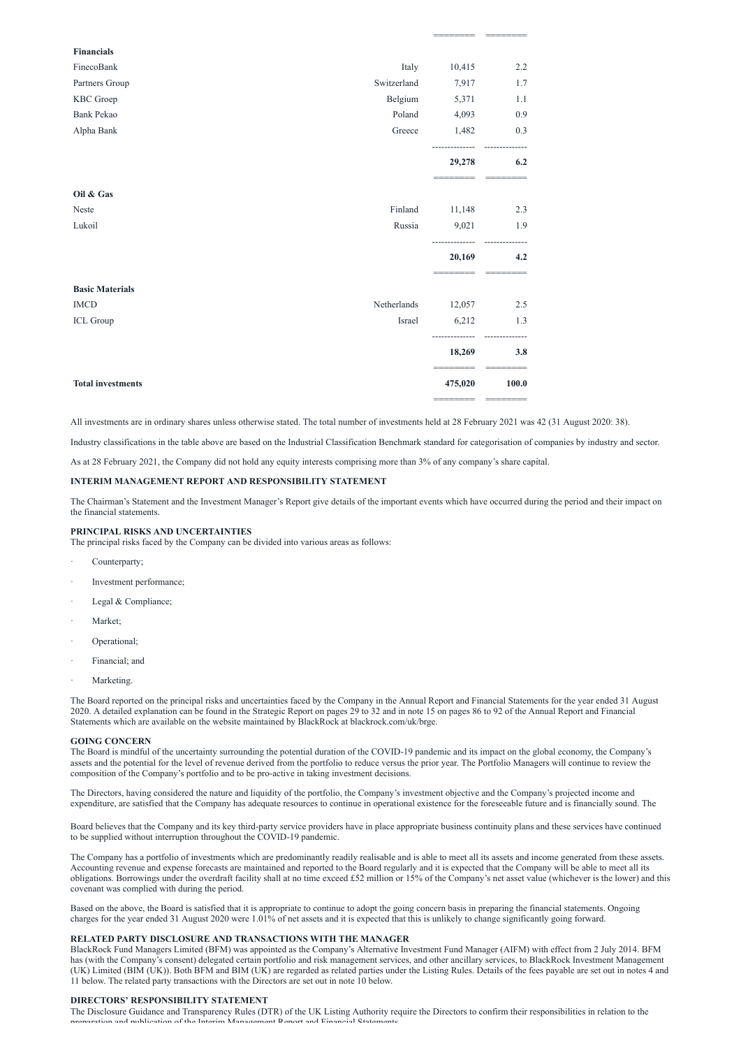======== ========

| <b>Financials</b>        |             |                   |       |
|--------------------------|-------------|-------------------|-------|
| FinecoBank               | Italy       | 10,415            | 2.2   |
| Partners Group           | Switzerland | 7,917             | 1.7   |
| KBC Groep                | Belgium     | 5,371             | 1.1   |
| <b>Bank Pekao</b>        | Poland      | 4,093             | 0.9   |
| Alpha Bank               | Greece      | 1,482             | 0.3   |
|                          |             | 29,278            | 6.2   |
| Oil & Gas                |             |                   |       |
| Neste                    | Finland     | 11,148            | 2.3   |
| Lukoil                   | Russia      | 9,021             | 1.9   |
|                          |             | 20,169            | 4.2   |
| <b>Basic Materials</b>   |             |                   |       |
| <b>IMCD</b>              | Netherlands | 12,057            | 2.5   |
| ICL Group                | Israel      | 6,212             | 1.3   |
|                          |             | 18,269            | 3.8   |
| <b>Total investments</b> |             | 475,020<br>====== | 100.0 |
|                          |             |                   |       |

All investments are in ordinary shares unless otherwise stated. The total number of investments held at 28 February 2021 was 42 (31 August 2020: 38).

Industry classifications in the table above are based on the Industrial Classification Benchmark standard for categorisation of companies by industry and sector.

As at 28 February 2021, the Company did not hold any equity interests comprising more than 3% of any company's share capital.

#### **INTERIM MANAGEMENT REPORT AND RESPONSIBILITY STATEMENT**

The Chairman's Statement and the Investment Manager's Report give details of the important events which have occurred during the period and their impact on the financial statements.

#### **PRINCIPAL RISKS AND UNCERTAINTIES**

The principal risks faced by the Company can be divided into various areas as follows:

- Counterparty;
- Investment performance;
- Legal & Compliance;
- Market;
- Operational;
- Financial; and
- Marketing.

The Board reported on the principal risks and uncertainties faced by the Company in the Annual Report and Financial Statements for the year ended 31 August 2020. A detailed explanation can be found in the Strategic Report on pages 29 to 32 and in note 15 on pages 86 to 92 of the Annual Report and Financial Statements which are available on the website maintained by BlackRock at blackrock.com/uk/brge.

#### **GOING CONCERN**

The Board is mindful of the uncertainty surrounding the potential duration of the COVID-19 pandemic and its impact on the global economy, the Company's assets and the potential for the level of revenue derived from the portfolio to reduce versus the prior year. The Portfolio Managers will continue to review the composition of the Company's portfolio and to be pro-active in taking investment decisions.

The Directors, having considered the nature and liquidity of the portfolio, the Company's investment objective and the Company's projected income and expenditure, are satisfied that the Company has adequate resources to continue in operational existence for the foreseeable future and is financially sound. The

Board believes that the Company and its key third-party service providers have in place appropriate business continuity plans and these services have continued to be supplied without interruption throughout the COVID-19 pandemic.

The Company has a portfolio of investments which are predominantly readily realisable and is able to meet all its assets and income generated from these assets. Accounting revenue and expense forecasts are maintained and reported to the Board regularly and it is expected that the Company will be able to meet all its obligations. Borrowings under the overdraft facility shall at no time exceed £52 million or 15% of the Company's net asset value (whichever is the lower) and this covenant was complied with during the period.

Based on the above, the Board is satisfied that it is appropriate to continue to adopt the going concern basis in preparing the financial statements. Ongoing charges for the year ended 31 August 2020 were 1.01% of net assets and it is expected that this is unlikely to change significantly going forward.

## **RELATED PARTY DISCLOSURE AND TRANSACTIONS WITH THE MANAGER**

BlackRock Fund Managers Limited (BFM) was appointed as the Company's Alternative Investment Fund Manager (AIFM) with effect from 2 July 2014. BFM has (with the Company's consent) delegated certain portfolio and risk management services, and other ancillary services, to BlackRock Investment Management (UK) Limited (BIM (UK)). Both BFM and BIM (UK) are regarded as related parties under the Listing Rules. Details of the fees payable are set out in notes 4 and 11 below. The related party transactions with the Directors are set out in note 10 below.

# **DIRECTORS' RESPONSIBILITY STATEMENT**

The Disclosure Guidance and Transparency Rules (DTR) of the UK Listing Authority require the Directors to confirm their responsibilities in relation to the preparation and publication of the Interim Management Report and Financial Statements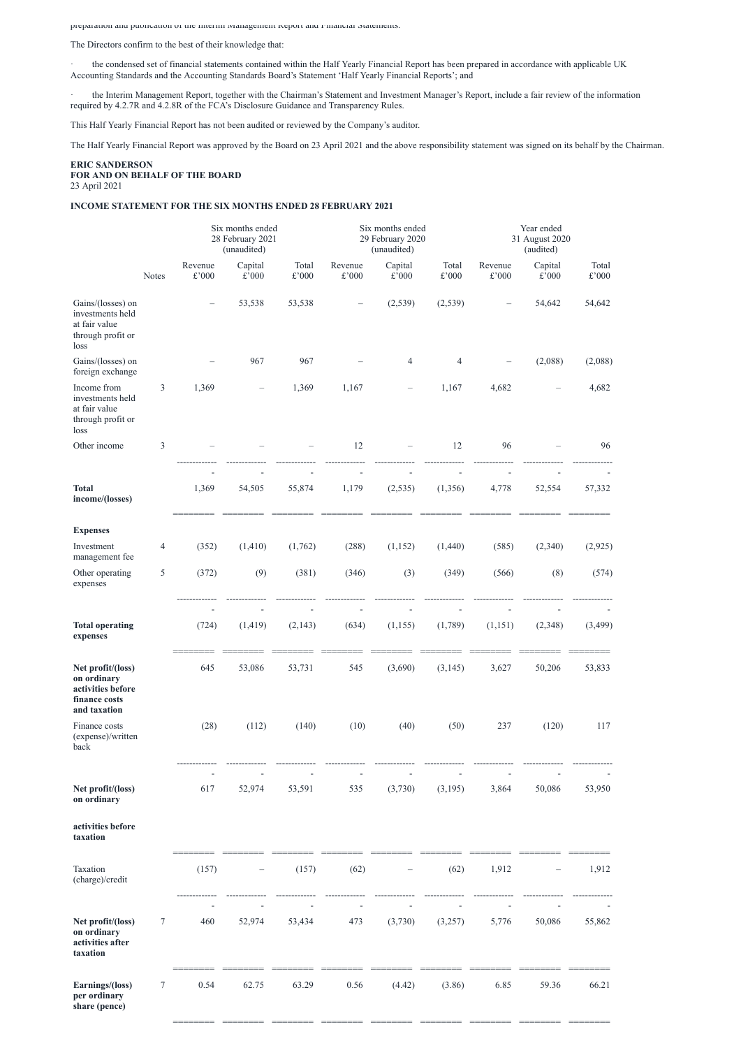preparation and publication of the Interim Management Report and Financial Statements.

The Directors confirm to the best of their knowledge that:

· the condensed set of financial statements contained within the Half Yearly Financial Report has been prepared in accordance with applicable UK Accounting Standards and the Accounting Standards Board's Statement 'Half Yearly Financial Reports'; and

· the Interim Management Report, together with the Chairman's Statement and Investment Manager's Report, include a fair review of the information required by 4.2.7R and 4.2.8R of the FCA's Disclosure Guidance and Transparency Rules.

This Half Yearly Financial Report has not been audited or reviewed by the Company's auditor.

The Half Yearly Financial Report was approved by the Board on 23 April 2021 and the above responsibility statement was signed on its behalf by the Chairman.

#### **ERIC SANDERSON FOR AND ON BEHALF OF THE BOARD** 23 April 2021

## **INCOME STATEMENT FOR THE SIX MONTHS ENDED 28 FEBRUARY 2021**

|                                                                                        |              | Six months ended<br>28 February 2021<br>(unaudited) |                           |                         |                           | Six months ended<br>29 February 2020<br>(unaudited) |                         | Year ended<br>31 August 2020<br>(audited) |                           |                         |
|----------------------------------------------------------------------------------------|--------------|-----------------------------------------------------|---------------------------|-------------------------|---------------------------|-----------------------------------------------------|-------------------------|-------------------------------------------|---------------------------|-------------------------|
|                                                                                        | <b>Notes</b> | Revenue<br>$\pounds$ '000                           | Capital<br>$\pounds$ '000 | Total<br>$\pounds$ '000 | Revenue<br>$\pounds$ '000 | Capital<br>$\pounds$ '000                           | Total<br>$\pounds$ '000 | Revenue<br>$\pounds$ '000                 | Capital<br>$\pounds$ '000 | Total<br>$\pounds$ '000 |
| Gains/(losses) on<br>investments held<br>at fair value<br>through profit or<br>loss    |              |                                                     | 53,538                    | 53,538                  |                           | (2,539)                                             | (2, 539)                |                                           | 54,642                    | 54,642                  |
| Gains/(losses) on<br>foreign exchange                                                  |              |                                                     | 967                       | 967                     |                           | $\overline{4}$                                      | $\overline{4}$          |                                           | (2,088)                   | (2,088)                 |
| Income from<br>investments held<br>at fair value<br>through profit or<br>loss          | 3            | 1,369                                               |                           | 1,369                   | 1,167                     |                                                     | 1,167                   | 4,682                                     |                           | 4,682                   |
| Other income                                                                           | 3            |                                                     |                           |                         | 12                        |                                                     | 12                      | 96                                        |                           | 96                      |
| <b>Total</b><br>income/(losses)                                                        |              | 1,369                                               | 54,505                    | 55,874                  | 1,179                     | (2, 535)                                            | (1,356)                 | 4,778                                     | 52,554                    | 57,332                  |
| <b>Expenses</b>                                                                        |              |                                                     |                           |                         |                           |                                                     |                         |                                           |                           |                         |
| Investment<br>management fee                                                           | 4            | (352)                                               | (1, 410)                  | (1,762)                 | (288)                     | (1,152)                                             | (1,440)                 | (585)                                     | (2,340)                   | (2,925)                 |
| Other operating<br>expenses                                                            | 5            | (372)                                               | (9)                       | (381)                   | (346)                     | (3)                                                 | (349)                   | (566)                                     | (8)                       | (574)                   |
|                                                                                        |              | ٠                                                   | ۰<br>(1, 419)             |                         |                           |                                                     |                         |                                           |                           |                         |
| <b>Total operating</b><br>expenses                                                     |              | (724)                                               |                           | (2, 143)                | (634)                     | (1, 155)                                            | (1,789)                 | (1, 151)                                  | (2,348)                   | (3, 499)                |
| Net profit/(loss)<br>on ordinary<br>activities before<br>finance costs<br>and taxation |              | 645                                                 | 53,086                    | 53,731                  | 545                       | (3,690)                                             | (3, 145)                | 3,627                                     | 50,206                    | 53,833                  |
| Finance costs<br>(expense)/written<br>back                                             |              | (28)                                                | (112)                     | (140)                   | (10)                      | (40)                                                | (50)                    | 237                                       | (120)                     | 117                     |
| Net profit/(loss)<br>on ordinary                                                       |              | 617                                                 | 52,974                    | 53,591                  | 535                       | (3,730)                                             | (3,195)                 | 3,864                                     | 50,086                    | 53,950                  |
| activities before<br>taxation                                                          |              |                                                     |                           |                         |                           |                                                     |                         |                                           |                           |                         |
| Taxation<br>(charge)/credit                                                            |              | (157)                                               |                           | (157)                   | (62)                      |                                                     | (62)                    | 1,912                                     | $\overline{\phantom{0}}$  | 1,912                   |
| Net profit/(loss)<br>on ordinary<br>activities after<br>taxation                       | 7            | 460                                                 | 52,974                    | 53,434                  | 473                       | (3,730)                                             | (3,257)                 | 5,776                                     | 50,086                    | 55,862                  |
| Earnings/(loss)<br>per ordinary<br>share (pence)                                       | 7            | 0.54                                                | 62.75                     | 63.29                   | 0.56                      | (4.42)                                              | (3.86)                  | 6.85                                      | 59.36                     | 66.21                   |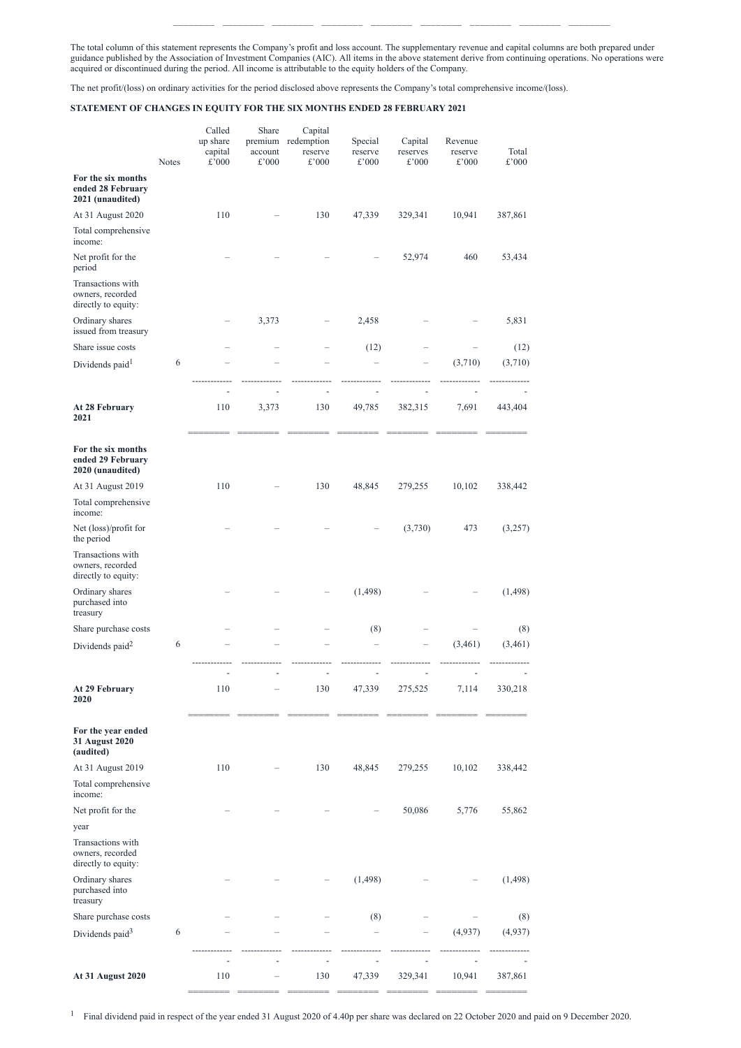======== ======== ======== ======== ======== ======== ======== ======== ========

The total column of this statement represents the Company's profit and loss account. The supplementary revenue and capital columns are both prepared under guidance published by the Association of Investment Companies (AIC). All items in the above statement derive from continuing operations. No operations were acquired or discontinued during the period. All income is attributable to the equity holders of the Company.

The net profit/(loss) on ordinary activities for the period disclosed above represents the Company's total comprehensive income/(loss).

# **STATEMENT OF CHANGES IN EQUITY FOR THE SIX MONTHS ENDED 28 FEBRUARY 2021**

|                                                              | <b>Notes</b> | Called<br>up share<br>capital<br>£'000 | Share<br>premium<br>account<br>£'000 | Capital<br>redemption<br>reserve<br>£'000 | Special<br>reserve<br>£'000 | Capital<br>reserves<br>£'000 | Revenue<br>reserve<br>£'000 | Total<br>$\pounds$ '000 |
|--------------------------------------------------------------|--------------|----------------------------------------|--------------------------------------|-------------------------------------------|-----------------------------|------------------------------|-----------------------------|-------------------------|
| For the six months<br>ended 28 February<br>2021 (unaudited)  |              |                                        |                                      |                                           |                             |                              |                             |                         |
| At 31 August 2020                                            |              | 110                                    |                                      | 130                                       | 47,339                      | 329,341                      | 10,941                      | 387,861                 |
| Total comprehensive<br>income:                               |              |                                        |                                      |                                           |                             |                              |                             |                         |
| Net profit for the<br>period                                 |              |                                        |                                      |                                           |                             | 52,974                       | 460                         | 53,434                  |
| Transactions with<br>owners, recorded<br>directly to equity: |              |                                        |                                      |                                           |                             |                              |                             |                         |
| Ordinary shares<br>issued from treasury                      |              |                                        | 3,373                                |                                           | 2,458                       |                              |                             | 5,831                   |
| Share issue costs                                            |              |                                        |                                      |                                           | (12)                        |                              |                             | (12)                    |
| Dividends paid <sup>1</sup>                                  | 6            |                                        |                                      |                                           |                             |                              | (3,710)                     | (3,710)                 |
|                                                              |              |                                        |                                      |                                           |                             |                              |                             |                         |
| At 28 February<br>2021                                       |              | 110                                    | 3,373                                | 130                                       | 49,785                      | 382,315                      | 7,691                       | 443,404                 |
| For the six months<br>ended 29 February<br>2020 (unaudited)  |              |                                        |                                      |                                           |                             |                              |                             |                         |
| At 31 August 2019                                            |              | 110                                    |                                      | 130                                       | 48,845                      | 279,255                      | 10,102                      | 338,442                 |
| Total comprehensive<br>income:                               |              |                                        |                                      |                                           |                             |                              |                             |                         |
| Net (loss)/profit for<br>the period                          |              |                                        |                                      |                                           |                             | (3,730)                      | 473                         | (3,257)                 |
| Transactions with<br>owners, recorded<br>directly to equity: |              |                                        |                                      |                                           |                             |                              |                             |                         |
| Ordinary shares<br>purchased into<br>treasury                |              |                                        |                                      |                                           | (1, 498)                    |                              |                             | (1, 498)                |
| Share purchase costs                                         |              |                                        |                                      |                                           | (8)                         |                              |                             | (8)                     |
| Dividends paid <sup>2</sup>                                  | 6            |                                        |                                      |                                           |                             |                              | (3,461)                     | (3,461)                 |
|                                                              |              |                                        |                                      |                                           |                             |                              |                             |                         |
| <b>At 29 February</b><br>2020                                |              | 110                                    |                                      | 130                                       | 47,339                      | 275,525                      | 7,114                       | 330,218                 |
| For the year ended<br>31 August 2020<br>(audited)            |              |                                        |                                      |                                           |                             |                              |                             |                         |
| At 31 August 2019                                            |              | 110                                    |                                      | 130                                       | 48,845                      | 279,255                      | 10,102                      | 338,442                 |

Total comprehensive

| income:                                                      |   |                          |                          |                          |         |                          |          |  |
|--------------------------------------------------------------|---|--------------------------|--------------------------|--------------------------|---------|--------------------------|----------|--|
| Net profit for the                                           |   |                          |                          | $\overline{\phantom{0}}$ | 50,086  | 5,776                    | 55,862   |  |
| year                                                         |   |                          |                          |                          |         |                          |          |  |
| Transactions with<br>owners, recorded<br>directly to equity: |   |                          |                          |                          |         |                          |          |  |
| Ordinary shares<br>purchased into<br>treasury                |   |                          |                          | (1, 498)                 |         | —                        | (1, 498) |  |
| Share purchase costs                                         |   |                          |                          | (8)                      |         |                          | (8)      |  |
| Dividends paid <sup>3</sup>                                  | 6 | $\overline{\phantom{0}}$ |                          |                          | —       | (4,937)                  | (4,937)  |  |
|                                                              |   | $\overline{\phantom{0}}$ | $\overline{\phantom{0}}$ |                          |         | $\overline{\phantom{0}}$ |          |  |
| <b>At 31 August 2020</b>                                     |   | 110                      | 130                      | 47,339                   | 329,341 | 10,941                   | 387,861  |  |

<sup>1</sup> Final dividend paid in respect of the year ended 31 August 2020 of 4.40p per share was declared on 22 October 2020 and paid on 9 December 2020.

======== ======== ======== ======== ======== ======== ========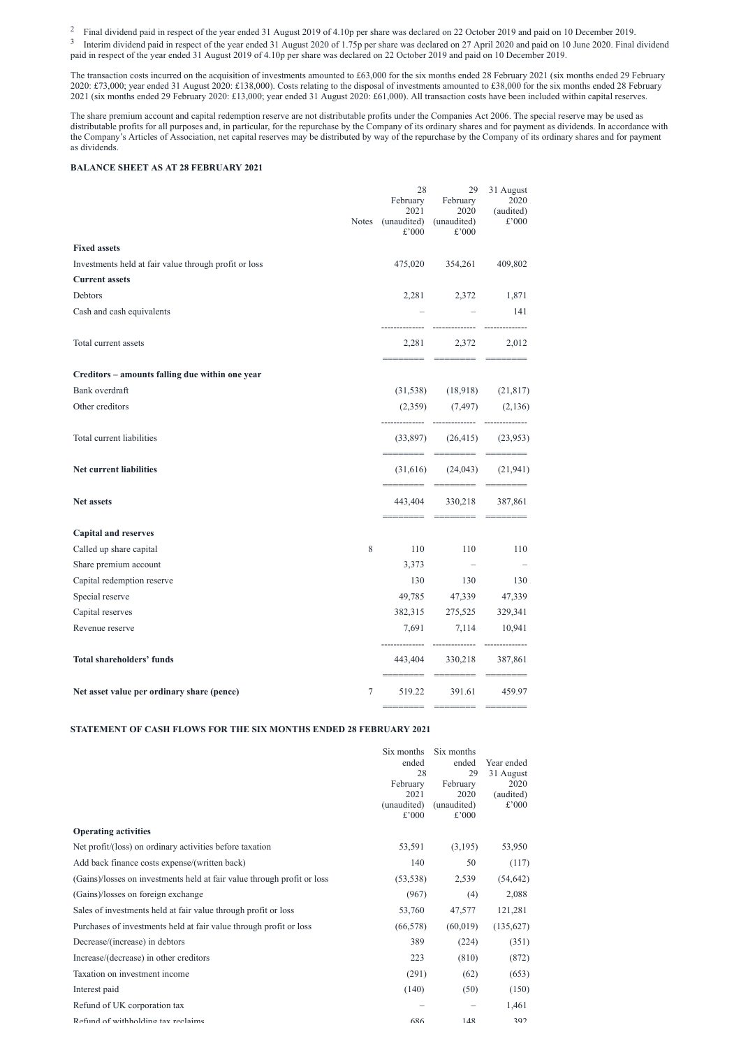<sup>2</sup> Final dividend paid in respect of the year ended 31 August 2019 of 4.10p per share was declared on 22 October 2019 and paid on 10 December 2019.

 $3$  Interim dividend paid in respect of the year ended 31 August 2020 of 1.75p per share was declared on 27 April 2020 and paid on 10 June 2020. Final dividend paid in respect of the year ended 31 August 2019 of 4.10p per share was declared on 22 October 2019 and paid on 10 December 2019.

The transaction costs incurred on the acquisition of investments amounted to £63,000 for the six months ended 28 February 2021 (six months ended 29 February 2020: £73,000; year ended 31 August 2020: £138,000). Costs relating to the disposal of investments amounted to £38,000 for the six months ended 28 February 2021 (six months ended 29 February 2020: £13,000; year ended 31 August 2020: £61,000). All transaction costs have been included within capital reserves.

The share premium account and capital redemption reserve are not distributable profits under the Companies Act 2006. The special reserve may be used as distributable profits for all purposes and, in particular, for the repurchase by the Company of its ordinary shares and for payment as dividends. In accordance with the Company's Articles of Association, net capital reserves may be distributed by way of the repurchase by the Company of its ordinary shares and for payment as dividends.

# **BALANCE SHEET AS AT 28 FEBRUARY 2021**

|                                                       | <b>Notes</b> | 28<br>February<br>2021<br>(unaudited)<br>£'000 | 29<br>February<br>2020<br>(unaudited)<br>£'000 | 31 August<br>2020<br>(audited)<br>£'000                                                                                                                                                                                                                                                                                                                                                                                                                         |
|-------------------------------------------------------|--------------|------------------------------------------------|------------------------------------------------|-----------------------------------------------------------------------------------------------------------------------------------------------------------------------------------------------------------------------------------------------------------------------------------------------------------------------------------------------------------------------------------------------------------------------------------------------------------------|
| <b>Fixed assets</b>                                   |              |                                                |                                                |                                                                                                                                                                                                                                                                                                                                                                                                                                                                 |
| Investments held at fair value through profit or loss |              | 475,020                                        | 354,261                                        | 409,802                                                                                                                                                                                                                                                                                                                                                                                                                                                         |
| <b>Current assets</b>                                 |              |                                                |                                                |                                                                                                                                                                                                                                                                                                                                                                                                                                                                 |
| Debtors                                               |              | 2,281                                          | 2,372                                          | 1,871                                                                                                                                                                                                                                                                                                                                                                                                                                                           |
| Cash and cash equivalents                             |              |                                                |                                                | 141                                                                                                                                                                                                                                                                                                                                                                                                                                                             |
| Total current assets                                  |              | 2,281                                          | 2,372                                          | 2,012                                                                                                                                                                                                                                                                                                                                                                                                                                                           |
| Creditors - amounts falling due within one year       |              |                                                |                                                |                                                                                                                                                                                                                                                                                                                                                                                                                                                                 |
| Bank overdraft                                        |              | (31, 538)                                      | (18,918)                                       | (21, 817)                                                                                                                                                                                                                                                                                                                                                                                                                                                       |
| Other creditors                                       |              | (2,359)                                        | (7, 497)                                       | (2,136)                                                                                                                                                                                                                                                                                                                                                                                                                                                         |
| Total current liabilities                             |              | (33,897)                                       | (26, 415)                                      | (23,953)                                                                                                                                                                                                                                                                                                                                                                                                                                                        |
| Net current liabilities                               |              | (31,616)                                       | (24, 043)                                      | (21, 941)                                                                                                                                                                                                                                                                                                                                                                                                                                                       |
| Net assets                                            |              | 443,404                                        | 330,218                                        | 387,861                                                                                                                                                                                                                                                                                                                                                                                                                                                         |
| <b>Capital and reserves</b>                           |              |                                                |                                                |                                                                                                                                                                                                                                                                                                                                                                                                                                                                 |
| Called up share capital                               | 8            | 110                                            | 110                                            | 110                                                                                                                                                                                                                                                                                                                                                                                                                                                             |
| Share premium account                                 |              | 3,373                                          |                                                |                                                                                                                                                                                                                                                                                                                                                                                                                                                                 |
| Capital redemption reserve                            |              | 130                                            | 130                                            | 130                                                                                                                                                                                                                                                                                                                                                                                                                                                             |
| Special reserve                                       |              | 49,785                                         | 47,339                                         | 47,339                                                                                                                                                                                                                                                                                                                                                                                                                                                          |
| Capital reserves                                      |              | 382,315                                        | 275,525                                        | 329,341                                                                                                                                                                                                                                                                                                                                                                                                                                                         |
| Revenue reserve                                       |              | 7,691                                          | 7,114                                          | 10,941                                                                                                                                                                                                                                                                                                                                                                                                                                                          |
| <b>Total shareholders' funds</b>                      |              |                                                | --------------<br>443,404 330,218<br>========  | 387,861                                                                                                                                                                                                                                                                                                                                                                                                                                                         |
| Net asset value per ordinary share (pence)            | 7            | 519.22                                         | 391.61                                         | 459.97                                                                                                                                                                                                                                                                                                                                                                                                                                                          |
|                                                       |              | ======                                         | ________                                       | $\begin{tabular}{ll} \multicolumn{3}{l}{{\color{blue}\textbf{1}}}\\[-2.0mm]{\color{blue}\textbf{2}}\\[-2.0mm]{\color{blue}\textbf{2}}\\[-2.0mm]{\color{blue}\textbf{2}}\\[-2.0mm]{\color{blue}\textbf{3}}\\[-2.0mm]{\color{blue}\textbf{4}}\\[-2.0mm]{\color{blue}\textbf{4}}\\[-2.0mm]{\color{blue}\textbf{4}}\\[-2.0mm]{\color{blue}\textbf{4}}\\[-2.0mm]{\color{blue}\textbf{4}}\\[-2.0mm]{\color{blue}\textbf{4}}\\[-2.0mm]{\color{blue}\textbf{4}}\\[-2.0$ |

#### **STATEMENT OF CASH FLOWS FOR THE SIX MONTHS ENDED 28 FEBRUARY 2021**

| Six months Six months |          |                  |
|-----------------------|----------|------------------|
| ended                 |          | ended Year ended |
| 28                    |          | 29 31 August     |
| February              | February | 2020             |

| 2021                    | 2020           | (audited) |
|-------------------------|----------------|-----------|
| (unaudited) (unaudited) |                | $£$ '000  |
| $£$ '000                | $\pounds$ '000 |           |

# **Operating activities**

| Net profit/(loss) on ordinary activities before taxation                | 53,591    | (3,195)   | 53,950    |
|-------------------------------------------------------------------------|-----------|-----------|-----------|
| Add back finance costs expense/(written back)                           | 140       | 50        | (117)     |
| (Gains)/losses on investments held at fair value through profit or loss | (53, 538) | 2,539     | (54, 642) |
| (Gains)/losses on foreign exchange                                      | (967)     | (4)       | 2,088     |
| Sales of investments held at fair value through profit or loss          | 53,760    | 47,577    | 121,281   |
| Purchases of investments held at fair value through profit or loss      | (66, 578) | (60, 019) | (135,627) |
| Decrease/(increase) in debtors                                          | 389       | (224)     | (351)     |
| Increase/(decrease) in other creditors                                  | 223       | (810)     | (872)     |
| Taxation on investment income                                           | (291)     | (62)      | (653)     |
| Interest paid                                                           | (140)     | (50)      | (150)     |
| Refund of UK corporation tax                                            |           |           | 1,461     |
| Refund of withholding tax reclaims                                      | 686       | 148       | 392       |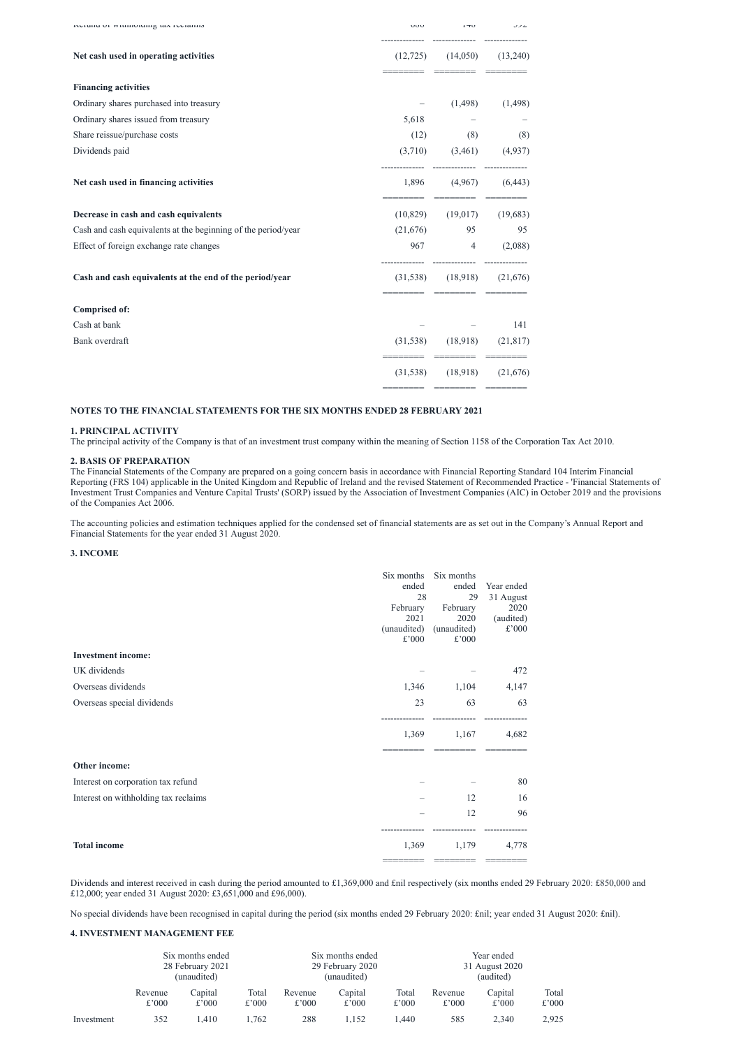| iverunu or winnionumg tax rectanno                            | <b>UUU</b> | $1 - U$                                 | J/L       |
|---------------------------------------------------------------|------------|-----------------------------------------|-----------|
| Net cash used in operating activities                         |            | $(12,725)$ $(14,050)$<br>========= ==== | (13,240)  |
| <b>Financing activities</b>                                   |            |                                         |           |
| Ordinary shares purchased into treasury                       |            | (1, 498)                                | (1,498)   |
| Ordinary shares issued from treasury                          | 5,618      |                                         |           |
| Share reissue/purchase costs                                  | (12)       | (8)                                     | (8)       |
| Dividends paid                                                |            | $(3,710)$ $(3,461)$ $(4,937)$           |           |
| Net cash used in financing activities                         |            | $1,896$ $(4,967)$ $(6,443)$             |           |
| Decrease in cash and cash equivalents                         | (10, 829)  | eccecce eccecce<br>(19,017)             | (19,683)  |
| Cash and cash equivalents at the beginning of the period/year | (21,676)   | 95                                      | 95        |
| Effect of foreign exchange rate changes                       |            | 967 4                                   | (2,088)   |
| Cash and cash equivalents at the end of the period/year       |            | $(31,538)$ $(18,918)$                   | (21,676)  |
| <b>Comprised of:</b>                                          |            |                                         |           |
| Cash at bank                                                  |            |                                         | 141       |
| Bank overdraft                                                | (31, 538)  | (18,918)                                | (21, 817) |
|                                                               |            | $(31,538)$ $(18,918)$                   | (21,676)  |

======== ======== ========

#### **NOTES TO THE FINANCIAL STATEMENTS FOR THE SIX MONTHS ENDED 28 FEBRUARY 2021**

#### **1. PRINCIPAL ACTIVITY**

The principal activity of the Company is that of an investment trust company within the meaning of Section 1158 of the Corporation Tax Act 2010.

## **2. BASIS OF PREPARATION**

The Financial Statements of the Company are prepared on a going concern basis in accordance with Financial Reporting Standard 104 Interim Financial Reporting (FRS 104) applicable in the United Kingdom and Republic of Ireland and the revised Statement of Recommended Practice - 'Financial Statements of Investment Trust Companies and Venture Capital Trusts' (SORP) issued by the Association of Investment Companies (AIC) in October 2019 and the provisions of the Companies Act 2006.

The accounting policies and estimation techniques applied for the condensed set of financial statements are as set out in the Company's Annual Report and Financial Statements for the year ended 31 August 2020.

#### **3. INCOME**

|                                    | Six months  | Six months  |            |
|------------------------------------|-------------|-------------|------------|
|                                    | ended       | ended       | Year ended |
|                                    | 28          | 29          | 31 August  |
|                                    | February    | February    | 2020       |
|                                    | 2021        | 2020        | (audited)  |
|                                    | (unaudited) | (unaudited) | £'000      |
|                                    | £'000       | £'000       |            |
| <b>Investment income:</b>          |             |             |            |
| UK dividends                       |             |             | 472        |
| Overseas dividends                 | 1,346       | 1,104       | 4,147      |
| Overseas special dividends         | 23          | 63          | 63         |
|                                    |             |             |            |
|                                    | 1,369       | 1,167       | 4,682      |
|                                    |             |             |            |
| Other income:                      |             |             |            |
| Interest on corporation tax refund |             |             | 80         |

| Interest on withholding tax reclaims |                 | 12                | 16       |
|--------------------------------------|-----------------|-------------------|----------|
|                                      | $\sim$          | 12                | 96       |
|                                      |                 |                   |          |
| <b>Total income</b>                  |                 | 1,369 1,179 4,778 |          |
|                                      | _____<br>______ | _________         | ________ |

Dividends and interest received in cash during the period amounted to £1,369,000 and £nil respectively (six months ended 29 February 2020: £850,000 and £12,000; year ended 31 August 2020: £3,651,000 and £96,000).

No special dividends have been recognised in capital during the period (six months ended 29 February 2020: £nil; year ended 31 August 2020: £nil).

### **4. INVESTMENT MANAGEMENT FEE**

|            |                  | Six months ended<br>28 February 2021<br>(unaudited) |                |                  | Six months ended<br>29 February 2020<br>31 August 2020<br>(audited)<br>(unaudited) |                | Year ended       |                  |                |
|------------|------------------|-----------------------------------------------------|----------------|------------------|------------------------------------------------------------------------------------|----------------|------------------|------------------|----------------|
|            | Revenue<br>£'000 | Capital<br>£'000                                    | Total<br>£'000 | Revenue<br>£'000 | Capital<br>£'000                                                                   | Total<br>£'000 | Revenue<br>£'000 | Capital<br>£'000 | Total<br>£'000 |
| Investment | 352              | .410                                                | .762           | 288              | .152                                                                               | .440           | 585              | 2.340            | 2.925          |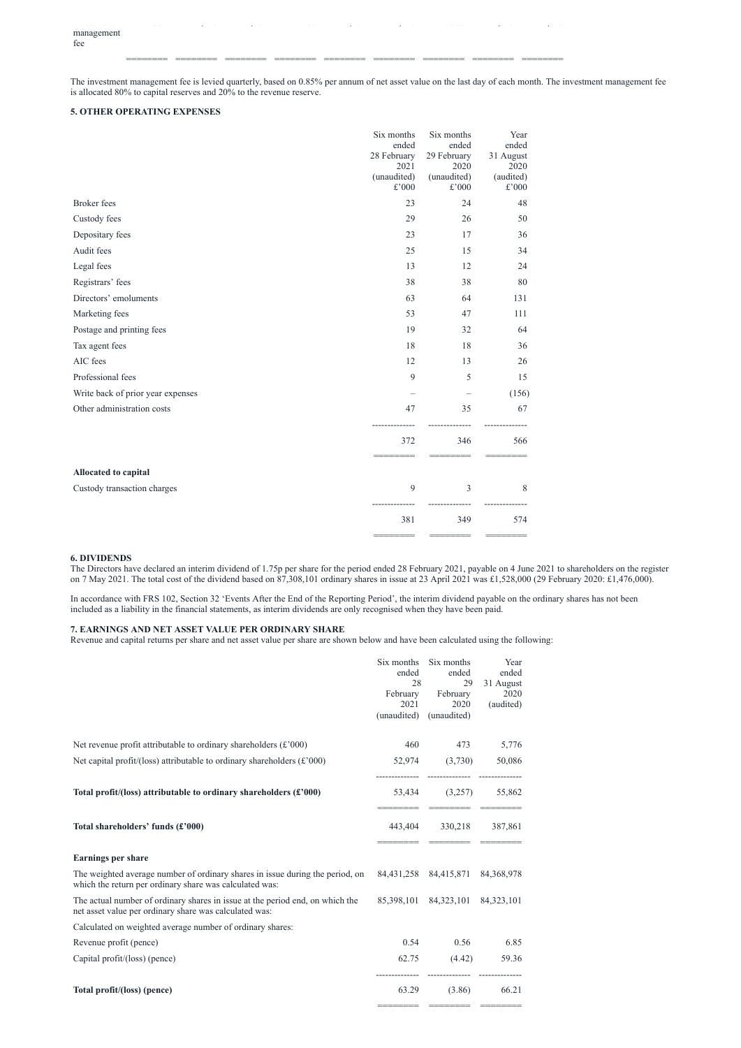======== ======== ======== ======== ======== ======== ======== ======== ========

The investment management fee is levied quarterly, based on 0.85% per annum of net asset value on the last day of each month. The investment management fee is allocated 80% to capital reserves and 20% to the revenue reserve.

 $\overline{35}$  ,  $\overline{35}$  ,  $\overline{35}$  ,  $\overline{35}$  ,  $\overline{35}$  ,  $\overline{35}$  ,  $\overline{35}$  ,  $\overline{35}$  ,  $\overline{35}$  ,  $\overline{35}$  ,  $\overline{35}$  ,  $\overline{35}$  ,  $\overline{35}$  ,  $\overline{35}$  ,  $\overline{35}$  ,  $\overline{35}$  ,  $\overline{35}$  ,  $\overline{35}$  ,  $\overline{$ 

# **5. OTHER OPERATING EXPENSES**

|                                   | Six months<br>ended<br>28 February<br>2021<br>(unaudited)<br>£'000 | Six months<br>ended<br>29 February<br>2020<br>(unaudited)<br>£'000 | Year<br>ended<br>31 August<br>2020<br>(audited)<br>$\pounds$ '000 |
|-----------------------------------|--------------------------------------------------------------------|--------------------------------------------------------------------|-------------------------------------------------------------------|
| <b>Broker</b> fees                | 23                                                                 | 24                                                                 | 48                                                                |
| Custody fees                      | 29                                                                 | 26                                                                 | 50                                                                |
| Depositary fees                   | 23                                                                 | 17                                                                 | 36                                                                |
| Audit fees                        | 25                                                                 | 15                                                                 | 34                                                                |
| Legal fees                        | 13                                                                 | 12                                                                 | 24                                                                |
| Registrars' fees                  | 38                                                                 | 38                                                                 | 80                                                                |
| Directors' emoluments             | 63                                                                 | 64                                                                 | 131                                                               |
| Marketing fees                    | 53                                                                 | 47                                                                 | 111                                                               |
| Postage and printing fees         | 19                                                                 | 32                                                                 | 64                                                                |
| Tax agent fees                    | 18                                                                 | 18                                                                 | 36                                                                |
| AIC fees                          | 12                                                                 | 13                                                                 | 26                                                                |
| Professional fees                 | 9                                                                  | 5                                                                  | 15                                                                |
| Write back of prior year expenses |                                                                    |                                                                    | (156)                                                             |
| Other administration costs        | 47                                                                 | 35                                                                 | 67                                                                |
|                                   | 372                                                                | 346                                                                | 566                                                               |
| Allocated to capital              |                                                                    |                                                                    |                                                                   |
| Custody transaction charges       | 9                                                                  | $\overline{3}$                                                     | 8                                                                 |
|                                   | 381                                                                | 349                                                                | 574                                                               |
|                                   |                                                                    |                                                                    |                                                                   |

## **6. DIVIDENDS**

The Directors have declared an interim dividend of 1.75p per share for the period ended 28 February 2021, payable on 4 June 2021 to shareholders on the register on 7 May 2021. The total cost of the dividend based on 87,308,101 ordinary shares in issue at 23 April 2021 was £1,528,000 (29 February 2020: £1,476,000).

In accordance with FRS 102, Section 32 'Events After the End of the Reporting Period', the interim dividend payable on the ordinary shares has not been included as a liability in the financial statements, as interim dividends are only recognised when they have been paid.

# **7. EARNINGS AND NET ASSET VALUE PER ORDINARY SHARE**

Revenue and capital returns per share and net asset value per share are shown below and have been calculated using the following:

|                                                                                                                                          | Six months<br>ended<br>28<br>February<br>2021<br>(unaudited) | Six months<br>ended<br>29<br>February<br>2020<br>(unaudited) | Year<br>ended<br>31 August<br>2020<br>(audited) |
|------------------------------------------------------------------------------------------------------------------------------------------|--------------------------------------------------------------|--------------------------------------------------------------|-------------------------------------------------|
| Net revenue profit attributable to ordinary shareholders $(\text{\pounds} 000)$                                                          | 460                                                          | 473                                                          | 5,776                                           |
| Net capital profit/(loss) attributable to ordinary shareholders $(\text{\pounds} 000)$                                                   |                                                              | $52,974$ $(3,730)$                                           | 50,086                                          |
| Total profit/(loss) attributable to ordinary shareholders (£'000)                                                                        | 53,434                                                       | (3,257)                                                      | 55,862                                          |
| Total shareholders' funds (£'000)                                                                                                        |                                                              | 443,404 330,218<br>________                                  | 387,861                                         |
| <b>Earnings per share</b>                                                                                                                |                                                              |                                                              |                                                 |
| The weighted average number of ordinary shares in issue during the period, on<br>which the return per ordinary share was calculated was: |                                                              | 84,431,258 84,415,871                                        | 84, 368, 978                                    |
| The actual number of ordinary shares in issue at the period end, on which the<br>net asset value per ordinary share was calculated was:  | 85,398,101                                                   | 84,323,101                                                   | 84, 323, 101                                    |
| Calculated on weighted average number of ordinary shares:                                                                                |                                                              |                                                              |                                                 |
| Revenue profit (pence)                                                                                                                   | 0.54                                                         | 0.56                                                         | 6.85                                            |
| Capital profit/(loss) (pence)                                                                                                            | 62.75                                                        | (4.42)                                                       | 59.36                                           |
| Total profit/(loss) (pence)                                                                                                              | 63.29                                                        | (3.86)                                                       | 66.21                                           |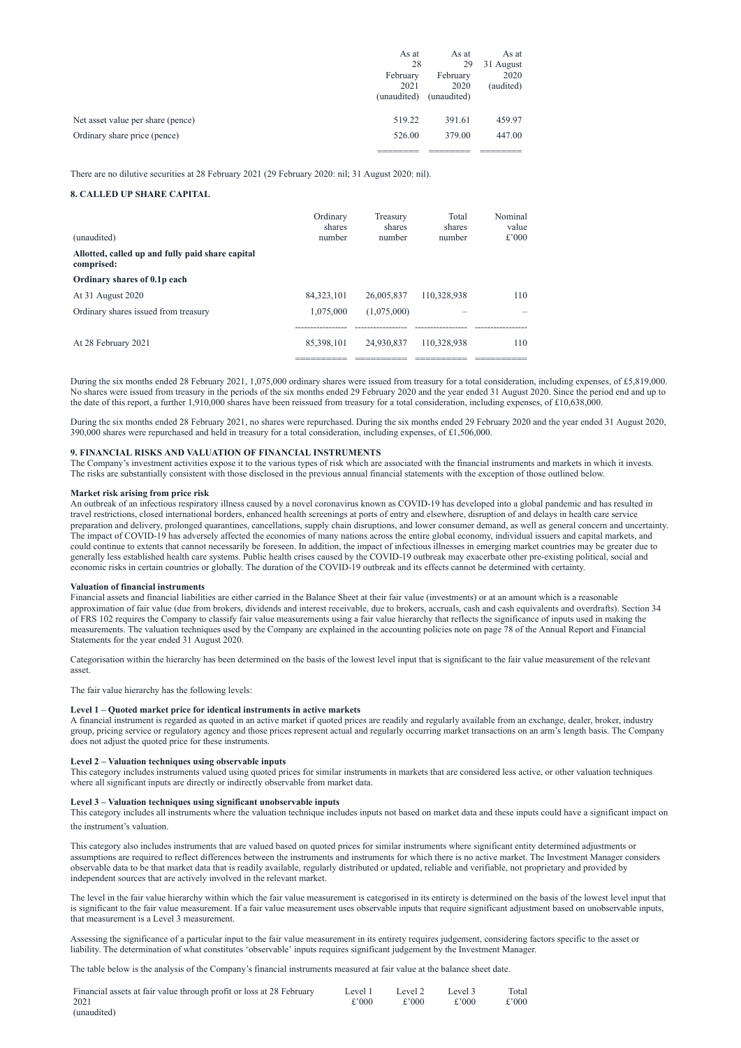|                                   | As at       | As at       | As at     |
|-----------------------------------|-------------|-------------|-----------|
|                                   | 28          | 29          | 31 August |
|                                   | February    | February    | 2020      |
|                                   | 2021        | 2020        | (audited) |
|                                   | (unaudited) | (unaudited) |           |
|                                   |             |             |           |
| Net asset value per share (pence) | 519.22      | 391.61      | 459.97    |
| Ordinary share price (pence)      | 526.00      | 379.00      | 447.00    |
|                                   |             |             |           |

There are no dilutive securities at 28 February 2021 (29 February 2020: nil; 31 August 2020: nil).

# **8. CALLED UP SHARE CAPITAL**

|                                                                | Ordinary<br>shares      | Treasury<br>shares      | Total<br>shares<br>number | Nominal<br>value<br>$£$ '000 |
|----------------------------------------------------------------|-------------------------|-------------------------|---------------------------|------------------------------|
| (unaudited)                                                    | number                  | number                  |                           |                              |
| Allotted, called up and fully paid share capital<br>comprised: |                         |                         |                           |                              |
| Ordinary shares of 0.1p each                                   |                         |                         |                           |                              |
| At 31 August 2020                                              | 84, 323, 101            | 26,005,837              | 110,328,938               | 110                          |
| Ordinary shares issued from treasury                           | 1,075,000               | (1,075,000)             |                           |                              |
| At 28 February 2021                                            | 85,398,101<br>_________ | 24,930,837<br>_________ | 110,328,938               | 110                          |

During the six months ended 28 February 2021, 1,075,000 ordinary shares were issued from treasury for a total consideration, including expenses, of £5,819,000. No shares were issued from treasury in the periods of the six months ended 29 February 2020 and the year ended 31 August 2020. Since the period end and up to the date of this report, a further 1,910,000 shares have been reissued from treasury for a total consideration, including expenses, of £10,638,000.

During the six months ended 28 February 2021, no shares were repurchased. During the six months ended 29 February 2020 and the year ended 31 August 2020, 390,000 shares were repurchased and held in treasury for a total consideration, including expenses, of £1,506,000.

#### **9. FINANCIAL RISKS AND VALUATION OF FINANCIAL INSTRUMENTS**

The Company's investment activities expose it to the various types of risk which are associated with the financial instruments and markets in which it invests. The risks are substantially consistent with those disclosed in the previous annual financial statements with the exception of those outlined below.

#### **Market risk arising from price risk**

An outbreak of an infectious respiratory illness caused by a novel coronavirus known as COVID-19 has developed into a global pandemic and has resulted in travel restrictions, closed international borders, enhanced health screenings at ports of entry and elsewhere, disruption of and delays in health care service preparation and delivery, prolonged quarantines, cancellations, supply chain disruptions, and lower consumer demand, as well as general concern and uncertainty. The impact of COVID-19 has adversely affected the economies of many nations across the entire global economy, individual issuers and capital markets, and could continue to extents that cannot necessarily be foreseen. In addition, the impact of infectious illnesses in emerging market countries may be greater due to generally less established health care systems. Public health crises caused by the COVID-19 outbreak may exacerbate other pre-existing political, social and economic risks in certain countries or globally. The duration of the COVID-19 outbreak and its effects cannot be determined with certainty.

#### **Valuation of financial instruments**

Financial assets and financial liabilities are either carried in the Balance Sheet at their fair value (investments) or at an amount which is a reasonable approximation of fair value (due from brokers, dividends and interest receivable, due to brokers, accruals, cash and cash equivalents and overdrafts). Section 34 of FRS 102 requires the Company to classify fair value measurements using a fair value hierarchy that reflects the significance of inputs used in making the measurements. The valuation techniques used by the Company are explained in the accounting policies note on page 78 of the Annual Report and Financial Statements for the year ended 31 August 2020.

Categorisation within the hierarchy has been determined on the basis of the lowest level input that is significant to the fair value measurement of the relevant asset.

The fair value hierarchy has the following levels:

## **Level 1 – Quoted market price for identical instruments in active markets**

A financial instrument is regarded as quoted in an active market if quoted prices are readily and regularly available from an exchange, dealer, broker, industry group, pricing service or regulatory agency and those prices represent actual and regularly occurring market transactions on an arm's length basis. The Company does not adjust the quoted price for these instruments.

## **Level 2 – Valuation techniques using observable inputs**

This category includes instruments valued using quoted prices for similar instruments in markets that are considered less active, or other valuation techniques where all significant inputs are directly or indirectly observable from market data.

#### **Level 3 – Valuation techniques using significant unobservable inputs**

This category includes all instruments where the valuation technique includes inputs not based on market data and these inputs could have a significant impact on the instrument's valuation.

This category also includes instruments that are valued based on quoted prices for similar instruments where significant entity determined adjustments or assumptions are required to reflect differences between the instruments and instruments for which there is no active market. The Investment Manager considers observable data to be that market data that is readily available, regularly distributed or updated, reliable and verifiable, not proprietary and provided by independent sources that are actively involved in the relevant market.

The level in the fair value hierarchy within which the fair value measurement is categorised in its entirety is determined on the basis of the lowest level input that is significant to the fair value measurement. If a fair value measurement uses observable inputs that require significant adjustment based on unobservable inputs, that measurement is a Level 3 measurement.

Assessing the significance of a particular input to the fair value measurement in its entirety requires judgement, considering factors specific to the asset or liability. The determination of what constitutes 'observable' inputs requires significant judgement by the Investment Manager.

The table below is the analysis of the Company's financial instruments measured at fair value at the balance sheet date.

| Financial assets at fair value through profit or loss at 28 February | Level 1 | Level 2  | Level 3    | Total |
|----------------------------------------------------------------------|---------|----------|------------|-------|
| 2021                                                                 | £'000   | $£$ '000 | $\pm$ '000 | £'000 |
| (unaudited)                                                          |         |          |            |       |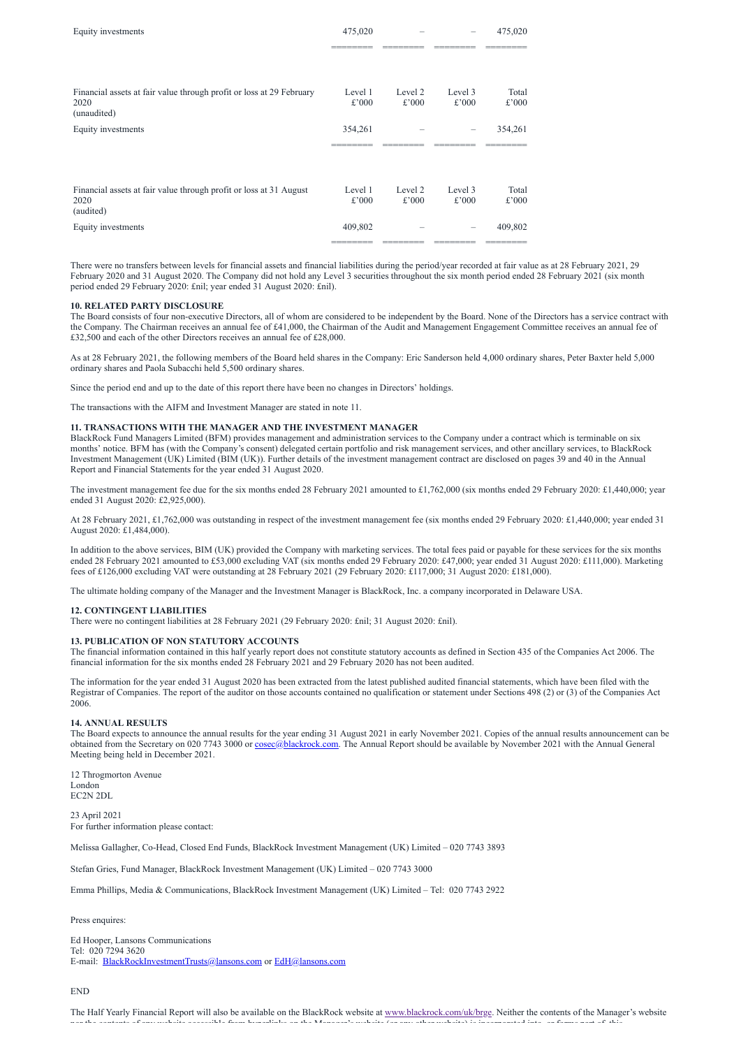| Equity investments                                                                          | 475,020          |                  |                  | 475,020        |
|---------------------------------------------------------------------------------------------|------------------|------------------|------------------|----------------|
| Financial assets at fair value through profit or loss at 29 February<br>2020<br>(unaudited) | Level 1<br>£'000 | Level 2<br>£'000 | Level 3<br>£'000 | Total<br>£'000 |
| Equity investments                                                                          | 354,261          |                  |                  | 354,261        |
| Financial assets at fair value through profit or loss at 31 August<br>2020<br>(audited)     | Level 1<br>£'000 | Level 2<br>£'000 | Level 3<br>£'000 | Total<br>£'000 |
| Equity investments                                                                          | 409,802          |                  |                  | 409,802        |

There were no transfers between levels for financial assets and financial liabilities during the period/year recorded at fair value as at 28 February 2021, 29 February 2020 and 31 August 2020. The Company did not hold any Level 3 securities throughout the six month period ended 28 February 2021 (six month period ended 29 February 2020: £nil; year ended 31 August 2020: £nil).

## **10. RELATED PARTY DISCLOSURE**

The Board consists of four non-executive Directors, all of whom are considered to be independent by the Board. None of the Directors has a service contract with the Company. The Chairman receives an annual fee of £41,000, the Chairman of the Audit and Management Engagement Committee receives an annual fee of £32,500 and each of the other Directors receives an annual fee of £28,000.

The investment management fee due for the six months ended 28 February 2021 amounted to £1,762,000 (six months ended 29 February 2020: £1,440,000; year ended 31 August 2020: £2,925,000).

As at 28 February 2021, the following members of the Board held shares in the Company: Eric Sanderson held 4,000 ordinary shares, Peter Baxter held 5,000 ordinary shares and Paola Subacchi held 5,500 ordinary shares.

Since the period end and up to the date of this report there have been no changes in Directors' holdings.

The transactions with the AIFM and Investment Manager are stated in note 11.

# **11. TRANSACTIONS WITH THE MANAGER AND THE INVESTMENT MANAGER**

BlackRock Fund Managers Limited (BFM) provides management and administration services to the Company under a contract which is terminable on six months' notice. BFM has (with the Company's consent) delegated certain portfolio and risk management services, and other ancillary services, to BlackRock Investment Management (UK) Limited (BIM (UK)). Further details of the investment management contract are disclosed on pages 39 and 40 in the Annual Report and Financial Statements for the year ended 31 August 2020.

Ed Hooper, Lansons Communications Tel: 020 7294 3620 E-mail: [BlackRockInvestmentTrusts@lansons.com](https://www.londonstockexchange.com/null) or [EdH@lansons.com](https://www.londonstockexchange.com/null)

At 28 February 2021, £1,762,000 was outstanding in respect of the investment management fee (six months ended 29 February 2020: £1,440,000; year ended 31 August 2020: £1,484,000).

The Half Yearly Financial Report will also be available on the BlackRock website at [www.blackrock.com/uk/brge.](http://www.blackrock.com/uk/brge) Neither the contents of the Manager's website nor the contents of any website accessible from hyperlinks on the Manager's website (or any other website) is incorporated into or forms part of this

In addition to the above services, BIM (UK) provided the Company with marketing services. The total fees paid or payable for these services for the six months ended 28 February 2021 amounted to £53,000 excluding VAT (six months ended 29 February 2020: £47,000; year ended 31 August 2020: £111,000). Marketing fees of £126,000 excluding VAT were outstanding at 28 February 2021 (29 February 2020: £117,000; 31 August 2020: £181,000).

The ultimate holding company of the Manager and the Investment Manager is BlackRock, Inc. a company incorporated in Delaware USA.

#### **12. CONTINGENT LIABILITIES**

There were no contingent liabilities at 28 February 2021 (29 February 2020: £nil; 31 August 2020: £nil).

# **13. PUBLICATION OF NON STATUTORY ACCOUNTS**

The financial information contained in this half yearly report does not constitute statutory accounts as defined in Section 435 of the Companies Act 2006. The financial information for the six months ended 28 February 2021 and 29 February 2020 has not been audited.

The information for the year ended 31 August 2020 has been extracted from the latest published audited financial statements, which have been filed with the Registrar of Companies. The report of the auditor on those accounts contained no qualification or statement under Sections 498 (2) or (3) of the Companies Act 2006.

#### **14. ANNUAL RESULTS**

The Board expects to announce the annual results for the year ending 31 August 2021 in early November 2021. Copies of the annual results announcement can be obtained from the Secretary on 020 7743 3000 or [cosec@blackrock.com](mailto:cosec@blackrock.com). The Annual Report should be available by November 2021 with the Annual General Meeting being held in December 2021.

EC2N 2DL

23 April 2021 For further information please contact:

Melissa Gallagher, Co-Head, Closed End Funds, BlackRock Investment Management (UK) Limited – 020 7743 3893

Stefan Gries, Fund Manager, BlackRock Investment Management (UK) Limited – 020 7743 3000

Emma Phillips, Media & Communications, BlackRock Investment Management (UK) Limited – Tel: 020 7743 2922

Press enquires:

#### END